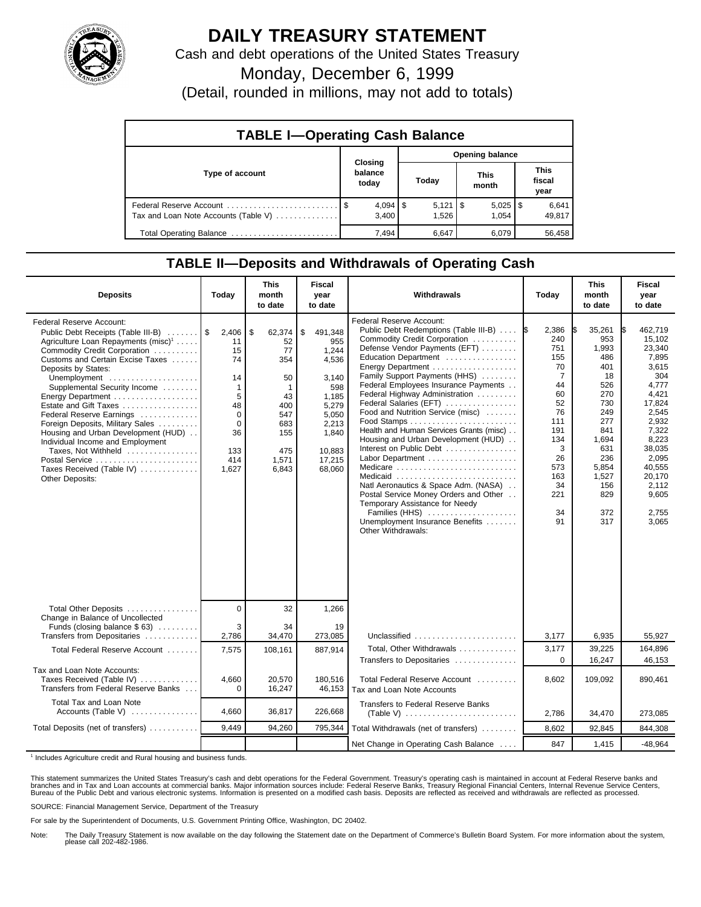

## **DAILY TREASURY STATEMENT**

Cash and debt operations of the United States Treasury

Monday, December 6, 1999

(Detail, rounded in millions, may not add to totals)

| <b>TABLE I-Operating Cash Balance</b> |                             |  |                             |  |                       |  |                               |  |  |
|---------------------------------------|-----------------------------|--|-----------------------------|--|-----------------------|--|-------------------------------|--|--|
|                                       |                             |  | <b>Opening balance</b>      |  |                       |  |                               |  |  |
| Type of account                       | Closing<br>balance<br>today |  | Today                       |  | <b>This</b><br>month  |  | <b>This</b><br>fiscal<br>year |  |  |
| Tax and Loan Note Accounts (Table V)  | $4,094$   \$<br>3.400       |  | $5,121$ $\sqrt{3}$<br>1.526 |  | $5,025$   \$<br>1.054 |  | 6,641<br>49,817               |  |  |
| Total Operating Balance               | 7.494                       |  | 6,647                       |  | 6.079                 |  | 56,458                        |  |  |

## **TABLE II—Deposits and Withdrawals of Operating Cash**

| <b>Deposits</b>                                                                                                                                                                                                                                                                                                                                                                                                                                                                                                                                       | Today                                                                                                        | <b>This</b><br>month<br>to date                                                                       | <b>Fiscal</b><br>year<br>to date                                                                                                  | Withdrawals                                                                                                                                                                                                                                                                                                                                                                                                                                                                                                                                                                                                                                                                                                                | Today                                                                                                                                             | <b>This</b><br>month<br>to date                                                                                                                           | <b>Fiscal</b><br>year<br>to date                                                                                                                                                                       |
|-------------------------------------------------------------------------------------------------------------------------------------------------------------------------------------------------------------------------------------------------------------------------------------------------------------------------------------------------------------------------------------------------------------------------------------------------------------------------------------------------------------------------------------------------------|--------------------------------------------------------------------------------------------------------------|-------------------------------------------------------------------------------------------------------|-----------------------------------------------------------------------------------------------------------------------------------|----------------------------------------------------------------------------------------------------------------------------------------------------------------------------------------------------------------------------------------------------------------------------------------------------------------------------------------------------------------------------------------------------------------------------------------------------------------------------------------------------------------------------------------------------------------------------------------------------------------------------------------------------------------------------------------------------------------------------|---------------------------------------------------------------------------------------------------------------------------------------------------|-----------------------------------------------------------------------------------------------------------------------------------------------------------|--------------------------------------------------------------------------------------------------------------------------------------------------------------------------------------------------------|
| Federal Reserve Account:<br>Public Debt Receipts (Table III-B)<br>Agriculture Loan Repayments (misc) <sup>1</sup><br>Commodity Credit Corporation<br>Customs and Certain Excise Taxes<br>Deposits by States:<br>Unemployment<br>Supplemental Security Income<br>Energy Department<br>Estate and Gift Taxes<br>Federal Reserve Earnings<br>Foreign Deposits, Military Sales<br>Housing and Urban Development (HUD)<br>Individual Income and Employment<br>Taxes, Not Withheld<br>Postal Service<br>Taxes Received (Table IV)<br><b>Other Deposits:</b> | 2,406<br>11<br>15<br>74<br>14<br>$\mathbf 1$<br>5<br>48<br>$\Omega$<br>$\Omega$<br>36<br>133<br>414<br>1,627 | \$<br>62,374<br>52<br>77<br>354<br>50<br>1<br>43<br>400<br>547<br>683<br>155<br>475<br>1,571<br>6,843 | \$<br>491,348<br>955<br>1,244<br>4,536<br>3.140<br>598<br>1,185<br>5,279<br>5,050<br>2,213<br>1,840<br>10,883<br>17,215<br>68,060 | <b>Federal Reserve Account:</b><br>Public Debt Redemptions (Table III-B)  S<br>Commodity Credit Corporation<br>Defense Vendor Payments (EFT)<br>Education Department<br>Energy Department<br>Family Support Payments (HHS)<br>Federal Employees Insurance Payments<br>Federal Highway Administration<br>Federal Salaries (EFT)<br>Food and Nutrition Service (misc)<br>Health and Human Services Grants (misc)<br>Housing and Urban Development (HUD)<br>Interest on Public Debt<br>Labor Department<br>Medicare<br>Medicaid<br>Natl Aeronautics & Space Adm. (NASA)<br>Postal Service Money Orders and Other<br>Temporary Assistance for Needy<br>Families (HHS)<br>Unemployment Insurance Benefits<br>Other Withdrawals: | 2,386<br>240<br>751<br>155<br>70<br>$\overline{7}$<br>44<br>60<br>52<br>76<br>111<br>191<br>134<br>3<br>26<br>573<br>163<br>34<br>221<br>34<br>91 | 35,261<br>953<br>1,993<br>486<br>401<br>18<br>526<br>270<br>730<br>249<br>277<br>841<br>1,694<br>631<br>236<br>5,854<br>1,527<br>156<br>829<br>372<br>317 | 462.719<br>IS.<br>15.102<br>23,340<br>7,895<br>3,615<br>304<br>4.777<br>4,421<br>17,824<br>2.545<br>2,932<br>7,322<br>8,223<br>38,035<br>2,095<br>40,555<br>20.170<br>2.112<br>9,605<br>2,755<br>3,065 |
| Total Other Deposits<br>Change in Balance of Uncollected                                                                                                                                                                                                                                                                                                                                                                                                                                                                                              | $\Omega$                                                                                                     | 32                                                                                                    | 1,266                                                                                                                             |                                                                                                                                                                                                                                                                                                                                                                                                                                                                                                                                                                                                                                                                                                                            |                                                                                                                                                   |                                                                                                                                                           |                                                                                                                                                                                                        |
| Funds (closing balance $$ 63)$<br>Transfers from Depositaries                                                                                                                                                                                                                                                                                                                                                                                                                                                                                         | 3<br>2,786                                                                                                   | 34<br>34,470                                                                                          | 19<br>273,085                                                                                                                     | Unclassified                                                                                                                                                                                                                                                                                                                                                                                                                                                                                                                                                                                                                                                                                                               | 3,177                                                                                                                                             | 6,935                                                                                                                                                     | 55,927                                                                                                                                                                                                 |
| Total Federal Reserve Account                                                                                                                                                                                                                                                                                                                                                                                                                                                                                                                         | 7,575                                                                                                        | 108,161                                                                                               | 887.914                                                                                                                           | Total, Other Withdrawals<br>Transfers to Depositaries                                                                                                                                                                                                                                                                                                                                                                                                                                                                                                                                                                                                                                                                      | 3,177<br>$\Omega$                                                                                                                                 | 39,225<br>16,247                                                                                                                                          | 164,896<br>46,153                                                                                                                                                                                      |
| Tax and Loan Note Accounts:<br>Taxes Received (Table IV)<br>Transfers from Federal Reserve Banks                                                                                                                                                                                                                                                                                                                                                                                                                                                      | 4.660<br>$\Omega$                                                                                            | 20.570<br>16,247                                                                                      | 180.516<br>46,153                                                                                                                 | Total Federal Reserve Account<br>Tax and Loan Note Accounts                                                                                                                                                                                                                                                                                                                                                                                                                                                                                                                                                                                                                                                                | 8.602                                                                                                                                             | 109.092                                                                                                                                                   | 890,461                                                                                                                                                                                                |
| Total Tax and Loan Note<br>Accounts (Table V)                                                                                                                                                                                                                                                                                                                                                                                                                                                                                                         | 4,660                                                                                                        | 36,817                                                                                                | 226.668                                                                                                                           | Transfers to Federal Reserve Banks                                                                                                                                                                                                                                                                                                                                                                                                                                                                                                                                                                                                                                                                                         | 2,786                                                                                                                                             | 34,470                                                                                                                                                    | 273,085                                                                                                                                                                                                |
| Total Deposits (net of transfers)                                                                                                                                                                                                                                                                                                                                                                                                                                                                                                                     | 9,449                                                                                                        | 94,260                                                                                                | 795,344                                                                                                                           | Total Withdrawals (net of transfers)                                                                                                                                                                                                                                                                                                                                                                                                                                                                                                                                                                                                                                                                                       | 8,602                                                                                                                                             | 92,845                                                                                                                                                    | 844,308                                                                                                                                                                                                |
|                                                                                                                                                                                                                                                                                                                                                                                                                                                                                                                                                       |                                                                                                              |                                                                                                       |                                                                                                                                   | Net Change in Operating Cash Balance                                                                                                                                                                                                                                                                                                                                                                                                                                                                                                                                                                                                                                                                                       | 847                                                                                                                                               | 1.415                                                                                                                                                     | $-48,964$                                                                                                                                                                                              |

<sup>1</sup> Includes Agriculture credit and Rural housing and business funds.

This statement summarizes the United States Treasury's cash and debt operations for the Federal Government. Treasury's operating cash is maintained in account at Federal Reserve banks and<br>branches and in Tax and Loan accou

SOURCE: Financial Management Service, Department of the Treasury

For sale by the Superintendent of Documents, U.S. Government Printing Office, Washington, DC 20402.

Note: The Daily Treasury Statement is now available on the day following the Statement date on the Department of Commerce's Bulletin Board System. For more information about the system, please call 202-482-1986.